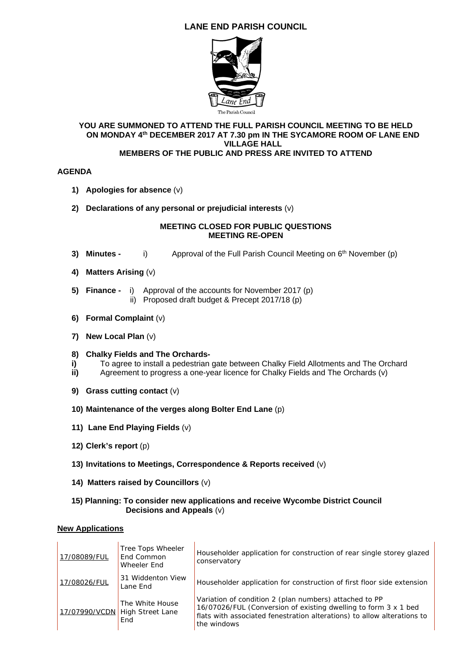# **LANE END PARISH COUNCIL**



#### **YOU ARE SUMMONED TO ATTEND THE FULL PARISH COUNCIL MEETING TO BE HELD ON MONDAY 4th DECEMBER 2017 AT 7.30 pm IN THE SYCAMORE ROOM OF LANE END VILLAGE HALL MEMBERS OF THE PUBLIC AND PRESS ARE INVITED TO ATTEND**

### **AGENDA**

- **1) Apologies for absence** (v)
- **2) Declarations of any personal or prejudicial interests** (v)

#### **MEETING CLOSED FOR PUBLIC QUESTIONS MEETING RE-OPEN**

- **3) Minutes -** i) Approval of the Full Parish Council Meeting on 6<sup>th</sup> November (p)
- **4) Matters Arising** (v)
- **5) Finance** i) Approval of the accounts for November 2017 (p) ii) Proposed draft budget & Precept 2017/18 (p)
- **6) Formal Complaint** (v)
- **7) New Local Plan** (v)

#### **8) Chalky Fields and The Orchards-**

- **i)** To agree to install a pedestrian gate between Chalky Field Allotments and The Orchard
- **ii)** Agreement to progress a one-year licence for Chalky Fields and The Orchards (v)
- **9) Grass cutting contact** (v)
- **10) Maintenance of the verges along Bolter End Lane** (p)
- **11) Lane End Playing Fields** (v)
- **12) Clerk's report** (p)
- **13) Invitations to Meetings, Correspondence & Reports received** (v)
- **14) Matters raised by Councillors** (v)

#### **15) Planning: To consider new applications and receive Wycombe District Council Decisions and Appeals** (v)

#### **New Applications**

| 17/08089/FUL  | Tree Tops Wheeler<br>End Common<br>Wheeler End    | Householder application for construction of rear single storey glazed<br>conservatory                                                                                                                               |
|---------------|---------------------------------------------------|---------------------------------------------------------------------------------------------------------------------------------------------------------------------------------------------------------------------|
| 17/08026/FUL  | 31 Widdenton View<br>Lane End                     | Householder application for construction of first floor side extension                                                                                                                                              |
| 17/07990/VCDN | The White House<br><b>High Street Lane</b><br>End | Variation of condition 2 (plan numbers) attached to PP<br>16/07026/FUL (Conversion of existing dwelling to form 3 x 1 bed<br>flats with associated fenestration alterations) to allow alterations to<br>the windows |